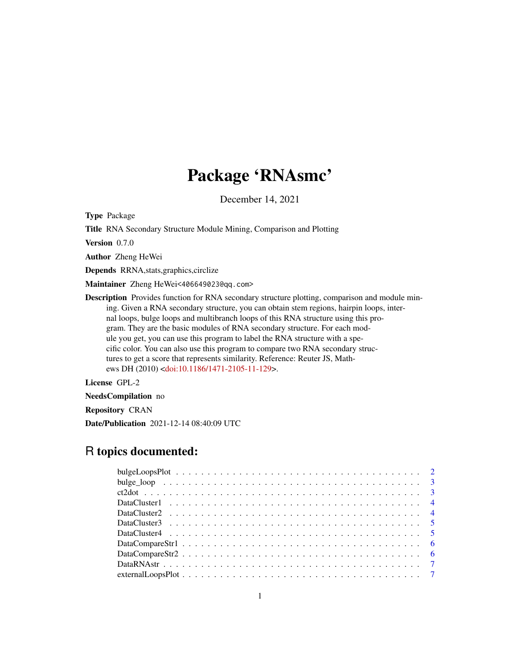## Package 'RNAsmc'

December 14, 2021

Type Package

Title RNA Secondary Structure Module Mining, Comparison and Plotting

Version 0.7.0

Author Zheng HeWei

Depends RRNA,stats,graphics,circlize

Maintainer Zheng HeWei<406649023@qq.com>

**Description** Provides function for RNA secondary structure plotting, comparison and module mining. Given a RNA secondary structure, you can obtain stem regions, hairpin loops, internal loops, bulge loops and multibranch loops of this RNA structure using this program. They are the basic modules of RNA secondary structure. For each module you get, you can use this program to label the RNA structure with a specific color. You can also use this program to compare two RNA secondary structures to get a score that represents similarity. Reference: Reuter JS, Mathews DH (2010) [<doi:10.1186/1471-2105-11-129>](https://doi.org/10.1186/1471-2105-11-129).

License GPL-2

NeedsCompilation no

Repository CRAN

Date/Publication 2021-12-14 08:40:09 UTC

### R topics documented: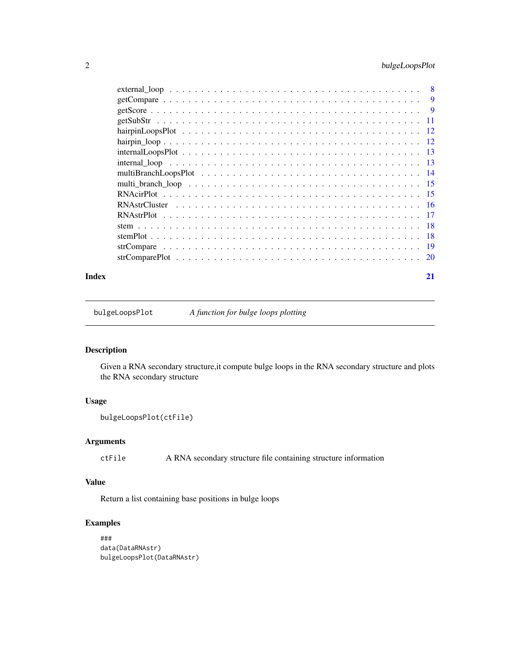### <span id="page-1-0"></span>2 bulgeLoopsPlot

| Index | 21 |
|-------|----|

bulgeLoopsPlot *A function for bulge loops plotting*

#### Description

Given a RNA secondary structure,it compute bulge loops in the RNA secondary structure and plots the RNA secondary structure

#### Usage

```
bulgeLoopsPlot(ctFile)
```
#### Arguments

ctFile A RNA secondary structure file containing structure information

#### Value

Return a list containing base positions in bulge loops

```
###
data(DataRNAstr)
bulgeLoopsPlot(DataRNAstr)
```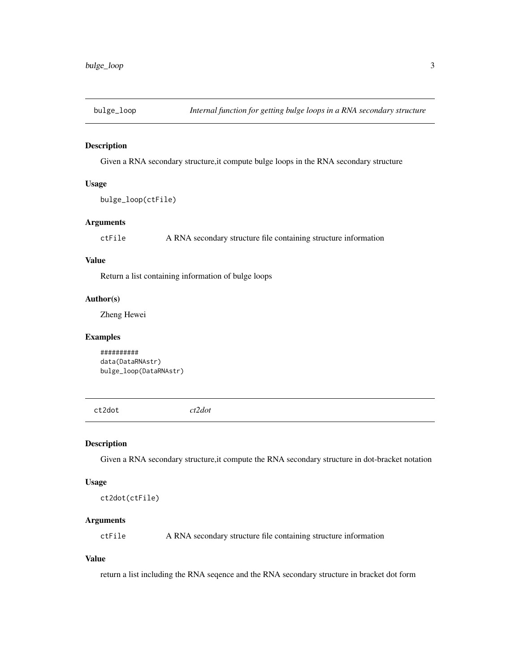<span id="page-2-0"></span>

#### Description

Given a RNA secondary structure,it compute bulge loops in the RNA secondary structure

#### Usage

```
bulge_loop(ctFile)
```
#### Arguments

ctFile A RNA secondary structure file containing structure information

#### Value

Return a list containing information of bulge loops

#### Author(s)

Zheng Hewei

#### Examples

########## data(DataRNAstr) bulge\_loop(DataRNAstr)

ct2dot *ct2dot*

#### Description

Given a RNA secondary structure,it compute the RNA secondary structure in dot-bracket notation

#### Usage

ct2dot(ctFile)

#### Arguments

ctFile A RNA secondary structure file containing structure information

#### Value

return a list including the RNA seqence and the RNA secondary structure in bracket dot form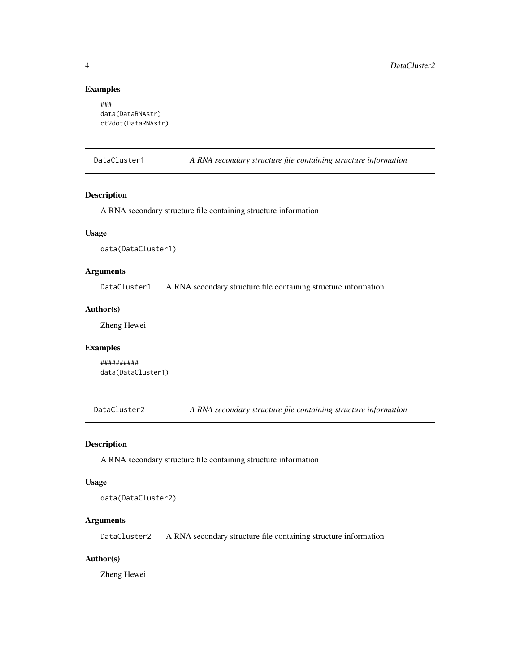#### Examples

```
###
data(DataRNAstr)
ct2dot(DataRNAstr)
```
DataCluster1 *A RNA secondary structure file containing structure information*

#### Description

A RNA secondary structure file containing structure information

#### Usage

```
data(DataCluster1)
```
#### Arguments

DataCluster1 A RNA secondary structure file containing structure information

#### Author(s)

Zheng Hewei

#### Examples

```
##########
data(DataCluster1)
```
DataCluster2 *A RNA secondary structure file containing structure information*

#### Description

A RNA secondary structure file containing structure information

#### Usage

data(DataCluster2)

#### Arguments

DataCluster2 A RNA secondary structure file containing structure information

#### Author(s)

Zheng Hewei

<span id="page-3-0"></span>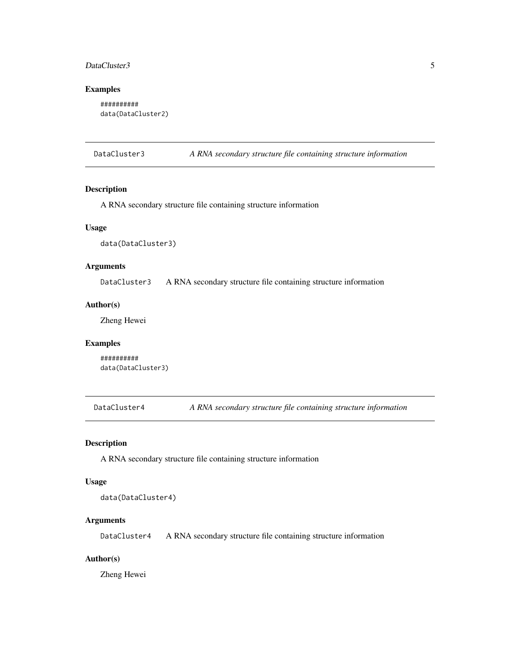#### <span id="page-4-0"></span>DataCluster3 5

#### Examples

```
##########
data(DataCluster2)
```
DataCluster3 *A RNA secondary structure file containing structure information*

#### Description

A RNA secondary structure file containing structure information

#### Usage

data(DataCluster3)

#### Arguments

DataCluster3 A RNA secondary structure file containing structure information

#### Author(s)

Zheng Hewei

#### Examples

########## data(DataCluster3)

DataCluster4 *A RNA secondary structure file containing structure information*

#### Description

A RNA secondary structure file containing structure information

#### Usage

data(DataCluster4)

#### Arguments

DataCluster4 A RNA secondary structure file containing structure information

#### Author(s)

Zheng Hewei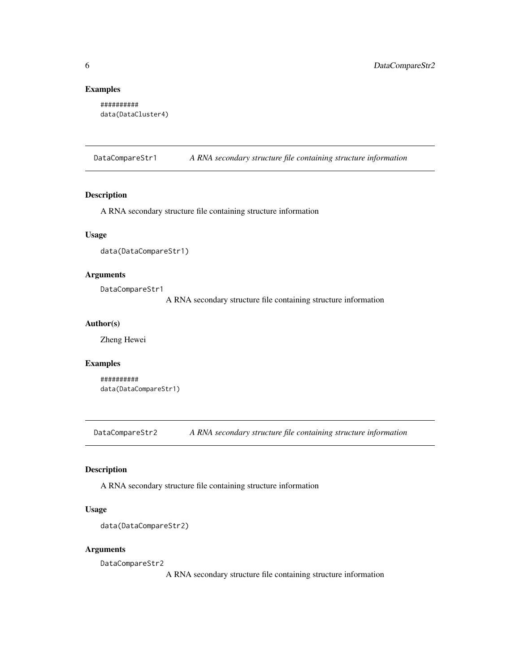#### Examples

```
##########
data(DataCluster4)
```
DataCompareStr1 *A RNA secondary structure file containing structure information*

#### Description

A RNA secondary structure file containing structure information

#### Usage

data(DataCompareStr1)

#### Arguments

DataCompareStr1

A RNA secondary structure file containing structure information

#### Author(s)

Zheng Hewei

#### Examples

```
##########
data(DataCompareStr1)
```
DataCompareStr2 *A RNA secondary structure file containing structure information*

#### Description

A RNA secondary structure file containing structure information

#### Usage

```
data(DataCompareStr2)
```
#### Arguments

DataCompareStr2

A RNA secondary structure file containing structure information

<span id="page-5-0"></span>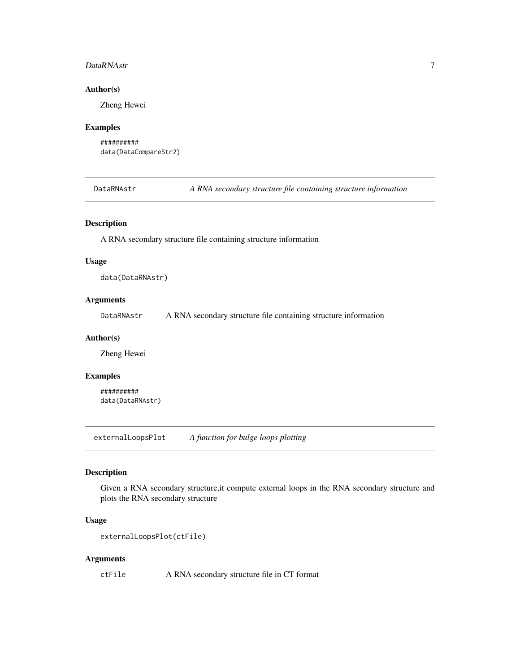#### <span id="page-6-0"></span>DataRNAstr 7

#### Author(s)

Zheng Hewei

#### Examples

```
##########
data(DataCompareStr2)
```
DataRNAstr *A RNA secondary structure file containing structure information*

#### Description

A RNA secondary structure file containing structure information

#### Usage

data(DataRNAstr)

#### Arguments

DataRNAstr A RNA secondary structure file containing structure information

#### Author(s)

Zheng Hewei

#### Examples

########## data(DataRNAstr)

externalLoopsPlot *A function for bulge loops plotting*

#### Description

Given a RNA secondary structure,it compute external loops in the RNA secondary structure and plots the RNA secondary structure

#### Usage

```
externalLoopsPlot(ctFile)
```
#### Arguments

ctFile A RNA secondary structure file in CT format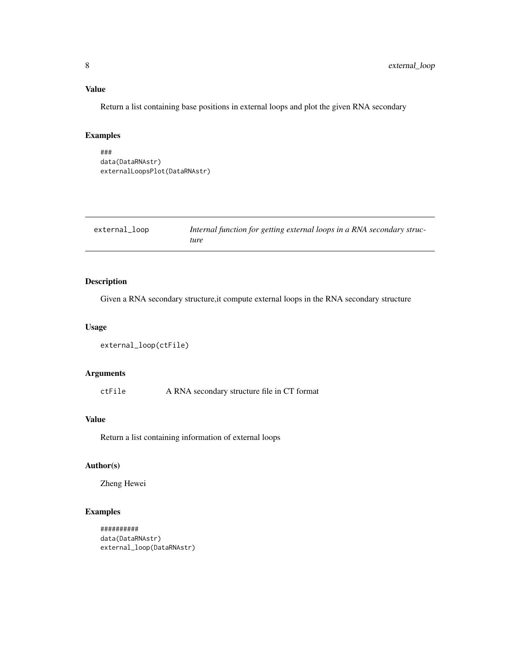#### <span id="page-7-0"></span>Value

Return a list containing base positions in external loops and plot the given RNA secondary

### Examples

```
###
data(DataRNAstr)
externalLoopsPlot(DataRNAstr)
```

| external_loop | Internal function for getting external loops in a RNA secondary struc- |
|---------------|------------------------------------------------------------------------|
|               | ture                                                                   |

#### Description

Given a RNA secondary structure,it compute external loops in the RNA secondary structure

#### Usage

```
external_loop(ctFile)
```
### Arguments

ctFile A RNA secondary structure file in CT format

#### Value

Return a list containing information of external loops

#### Author(s)

Zheng Hewei

```
##########
data(DataRNAstr)
external_loop(DataRNAstr)
```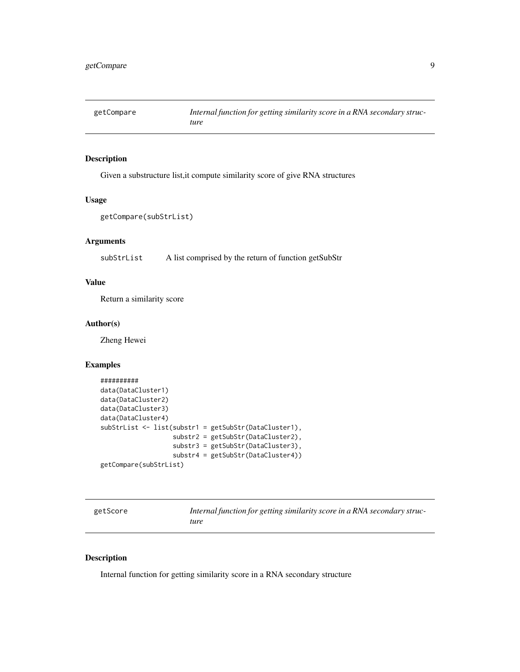<span id="page-8-0"></span>

#### Description

Given a substructure list,it compute similarity score of give RNA structures

#### Usage

```
getCompare(subStrList)
```
#### Arguments

subStrList A list comprised by the return of function getSubStr

#### Value

Return a similarity score

#### Author(s)

Zheng Hewei

#### Examples

```
##########
data(DataCluster1)
data(DataCluster2)
data(DataCluster3)
data(DataCluster4)
subStrList <- list(substr1 = getSubStr(DataCluster1),
                   substr2 = getSubStr(DataCluster2),
                   substr3 = getSubStr(DataCluster3),
                   substr4 = getSubStr(DataCluster4))
getCompare(subStrList)
```
getScore *Internal function for getting similarity score in a RNA secondary structure*

#### Description

Internal function for getting similarity score in a RNA secondary structure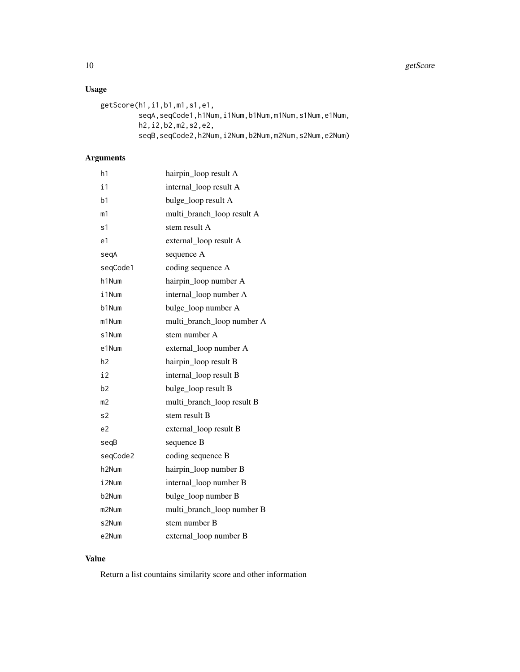### Usage

```
getScore(h1,i1,b1,m1,s1,e1,
        seqA,seqCode1,h1Num,i1Num,b1Num,m1Num,s1Num,e1Num,
        h2,i2,b2,m2,s2,e2,
        seqB,seqCode2,h2Num,i2Num,b2Num,m2Num,s2Num,e2Num)
```
#### Arguments

| h1                | hairpin_loop result A      |
|-------------------|----------------------------|
| i1                | internal_loop result A     |
| b <sub>1</sub>    | bulge_loop result A        |
| m1                | multi_branch_loop result A |
| s1                | stem result A              |
| e1                | external_loop result A     |
| segA              | sequence A                 |
| seqCode1          | coding sequence A          |
| h1Num             | hairpin_loop number A      |
| i1Num             | internal_loop number A     |
| b1Num             | bulge_loop number A        |
| m1Num             | multi_branch_loop number A |
| s1Num             | stem number A              |
| e1Num             | external_loop number A     |
| h2                | hairpin_loop result B      |
| i2                | internal_loop result B     |
| b <sub>2</sub>    | bulge_loop result B        |
| m <sub>2</sub>    | multi_branch_loop result B |
| s2                | stem result B              |
| e2                | external_loop result B     |
| seqB              | sequence B                 |
| seqCode2          | coding sequence B          |
| h <sub>2Num</sub> | hairpin_loop number B      |
| i2Num             | internal_loop number B     |
| b <sub>2Num</sub> | bulge_loop number B        |
|                   |                            |
| m2Num             | multi_branch_loop number B |
| s2Num             | stem number B              |

#### Value

Return a list countains similarity score and other information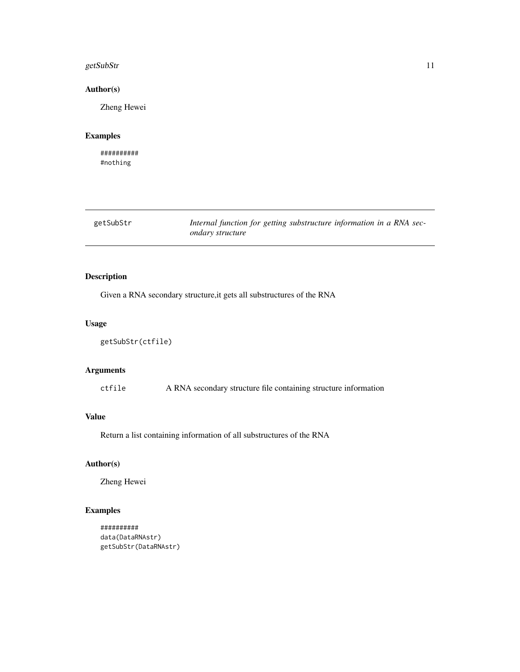#### <span id="page-10-0"></span> $getSubStr$  11

#### Author(s)

Zheng Hewei

### Examples

########## #nothing

getSubStr *Internal function for getting substructure information in a RNA secondary structure*

### Description

Given a RNA secondary structure,it gets all substructures of the RNA

#### Usage

getSubStr(ctfile)

#### Arguments

ctfile A RNA secondary structure file containing structure information

### Value

Return a list containing information of all substructures of the RNA

#### Author(s)

Zheng Hewei

```
##########
data(DataRNAstr)
getSubStr(DataRNAstr)
```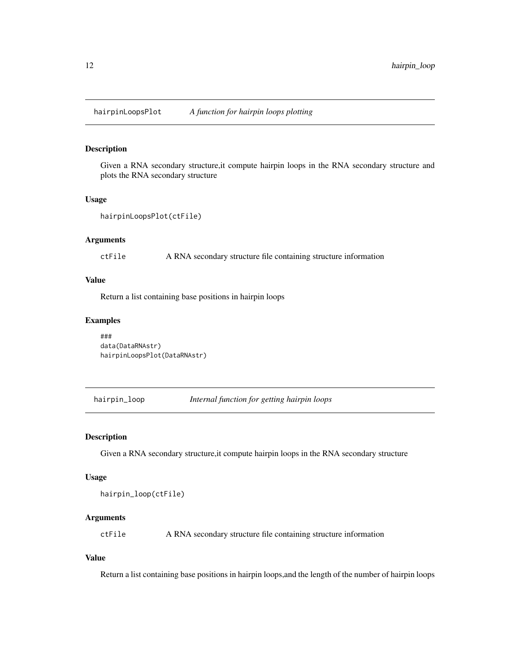<span id="page-11-0"></span>hairpinLoopsPlot *A function for hairpin loops plotting*

#### Description

Given a RNA secondary structure,it compute hairpin loops in the RNA secondary structure and plots the RNA secondary structure

#### Usage

```
hairpinLoopsPlot(ctFile)
```
#### Arguments

ctFile A RNA secondary structure file containing structure information

#### Value

Return a list containing base positions in hairpin loops

#### Examples

### data(DataRNAstr) hairpinLoopsPlot(DataRNAstr)

hairpin\_loop *Internal function for getting hairpin loops*

#### Description

Given a RNA secondary structure,it compute hairpin loops in the RNA secondary structure

#### Usage

```
hairpin_loop(ctFile)
```
#### Arguments

ctFile A RNA secondary structure file containing structure information

#### Value

Return a list containing base positions in hairpin loops,and the length of the number of hairpin loops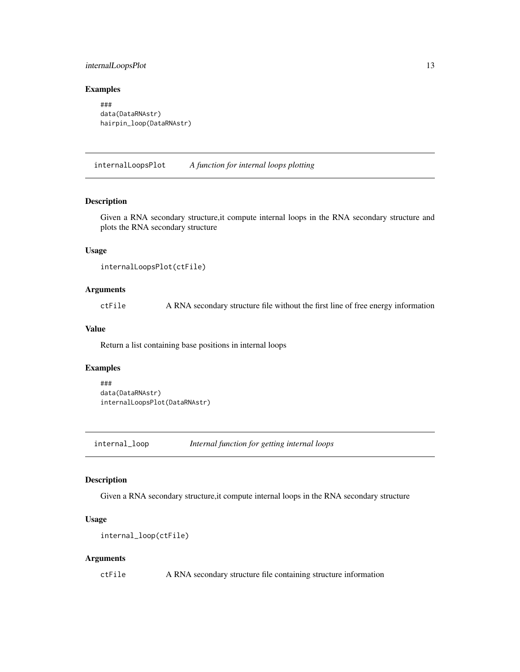#### <span id="page-12-0"></span>internalLoopsPlot 13

#### Examples

```
###
data(DataRNAstr)
hairpin_loop(DataRNAstr)
```
internalLoopsPlot *A function for internal loops plotting*

#### Description

Given a RNA secondary structure,it compute internal loops in the RNA secondary structure and plots the RNA secondary structure

#### Usage

```
internalLoopsPlot(ctFile)
```
#### Arguments

ctFile A RNA secondary structure file without the first line of free energy information

#### Value

Return a list containing base positions in internal loops

#### Examples

```
###
data(DataRNAstr)
internalLoopsPlot(DataRNAstr)
```
internal\_loop *Internal function for getting internal loops*

#### Description

Given a RNA secondary structure,it compute internal loops in the RNA secondary structure

#### Usage

```
internal_loop(ctFile)
```
#### Arguments

ctFile A RNA secondary structure file containing structure information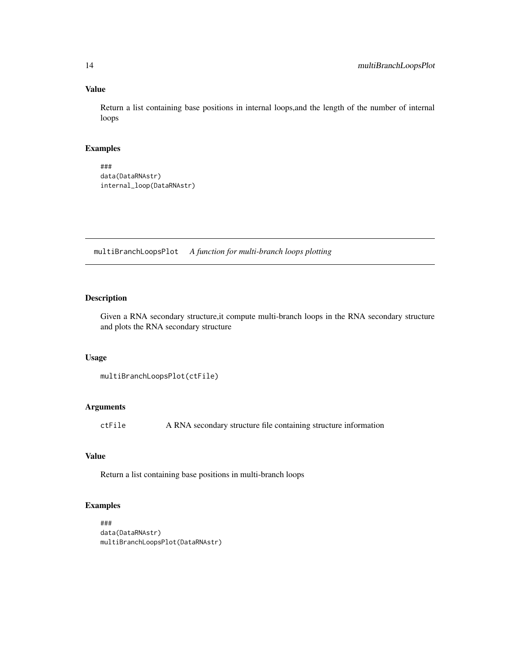#### Value

Return a list containing base positions in internal loops,and the length of the number of internal loops

#### Examples

```
###
data(DataRNAstr)
internal_loop(DataRNAstr)
```
multiBranchLoopsPlot *A function for multi-branch loops plotting*

#### Description

Given a RNA secondary structure,it compute multi-branch loops in the RNA secondary structure and plots the RNA secondary structure

#### Usage

```
multiBranchLoopsPlot(ctFile)
```
#### Arguments

ctFile A RNA secondary structure file containing structure information

#### Value

Return a list containing base positions in multi-branch loops

```
###
data(DataRNAstr)
multiBranchLoopsPlot(DataRNAstr)
```
<span id="page-13-0"></span>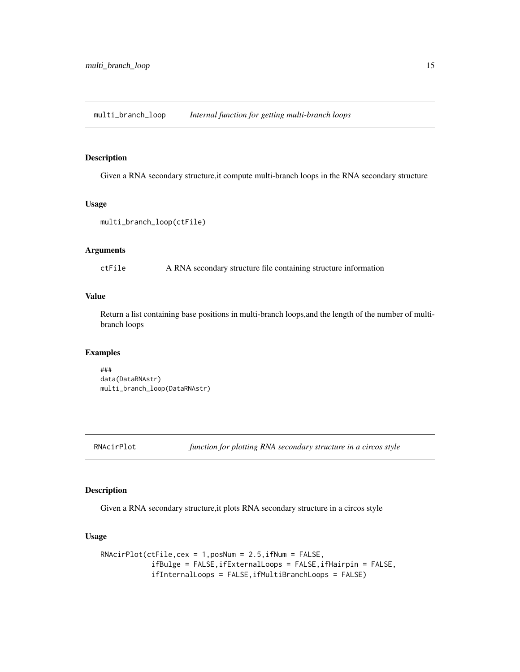<span id="page-14-0"></span>multi\_branch\_loop *Internal function for getting multi-branch loops*

#### Description

Given a RNA secondary structure,it compute multi-branch loops in the RNA secondary structure

#### Usage

```
multi_branch_loop(ctFile)
```
#### **Arguments**

ctFile A RNA secondary structure file containing structure information

#### Value

Return a list containing base positions in multi-branch loops,and the length of the number of multibranch loops

#### Examples

```
###
data(DataRNAstr)
multi_branch_loop(DataRNAstr)
```
RNAcirPlot *function for plotting RNA secondary structure in a circos style*

#### Description

Given a RNA secondary structure,it plots RNA secondary structure in a circos style

#### Usage

```
RNAcirPlot(ctFile,cex = 1,posNum = 2.5,ifNum = FALSE,
           ifBulge = FALSE,ifExternalLoops = FALSE,ifHairpin = FALSE,
           ifInternalLoops = FALSE,ifMultiBranchLoops = FALSE)
```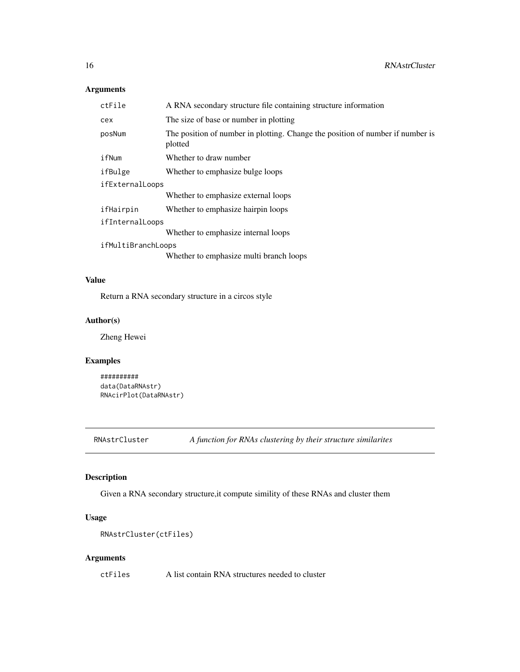### <span id="page-15-0"></span>Arguments

| ctFile             | A RNA secondary structure file containing structure information                           |
|--------------------|-------------------------------------------------------------------------------------------|
| cex                | The size of base or number in plotting                                                    |
| posNum             | The position of number in plotting. Change the position of number if number is<br>plotted |
| ifNum              | Whether to draw number                                                                    |
| ifBulge            | Whether to emphasize bulge loops                                                          |
| ifExternalLoops    |                                                                                           |
|                    | Whether to emphasize external loops                                                       |
| ifHairpin          | Whether to emphasize hairpin loops                                                        |
| ifInternalLoops    |                                                                                           |
|                    | Whether to emphasize internal loops                                                       |
| ifMultiBranchLoops |                                                                                           |
|                    | Whether to emphasize multi branch loops                                                   |

#### Value

Return a RNA secondary structure in a circos style

#### Author(s)

Zheng Hewei

#### Examples

```
##########
data(DataRNAstr)
RNAcirPlot(DataRNAstr)
```
RNAstrCluster *A function for RNAs clustering by their structure similarites*

#### Description

Given a RNA secondary structure,it compute simility of these RNAs and cluster them

#### Usage

```
RNAstrCluster(ctFiles)
```
#### Arguments

ctFiles A list contain RNA structures needed to cluster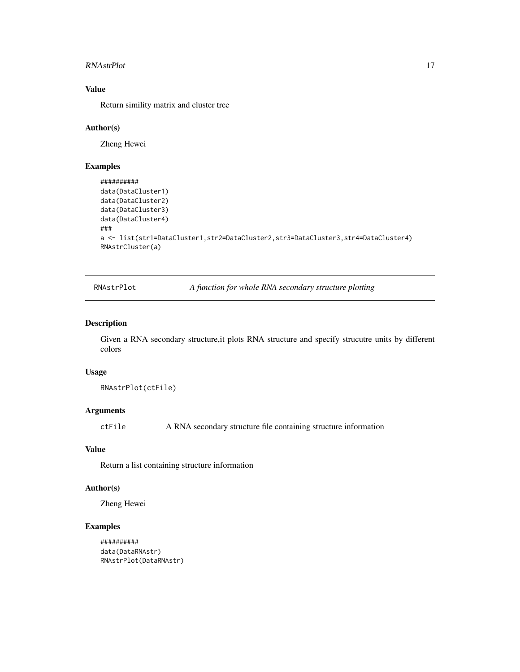#### <span id="page-16-0"></span>**RNAstrPlot** 17

#### Value

Return simility matrix and cluster tree

#### Author(s)

Zheng Hewei

#### Examples

```
##########
data(DataCluster1)
data(DataCluster2)
data(DataCluster3)
data(DataCluster4)
###
a <- list(str1=DataCluster1,str2=DataCluster2,str3=DataCluster3,str4=DataCluster4)
RNAstrCluster(a)
```
RNAstrPlot *A function for whole RNA secondary structure plotting*

#### Description

Given a RNA secondary structure,it plots RNA structure and specify strucutre units by different colors

#### Usage

RNAstrPlot(ctFile)

#### Arguments

ctFile A RNA secondary structure file containing structure information

#### Value

Return a list containing structure information

#### Author(s)

Zheng Hewei

```
##########
data(DataRNAstr)
RNAstrPlot(DataRNAstr)
```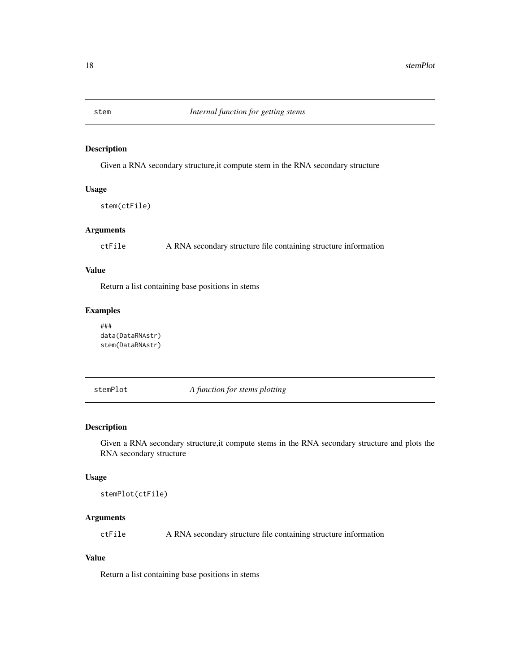<span id="page-17-0"></span>

### Description

Given a RNA secondary structure,it compute stem in the RNA secondary structure

#### Usage

stem(ctFile)

#### Arguments

ctFile A RNA secondary structure file containing structure information

#### Value

Return a list containing base positions in stems

#### Examples

```
###
data(DataRNAstr)
stem(DataRNAstr)
```
stemPlot *A function for stems plotting*

#### Description

Given a RNA secondary structure,it compute stems in the RNA secondary structure and plots the RNA secondary structure

#### Usage

```
stemPlot(ctFile)
```
#### Arguments

ctFile A RNA secondary structure file containing structure information

#### Value

Return a list containing base positions in stems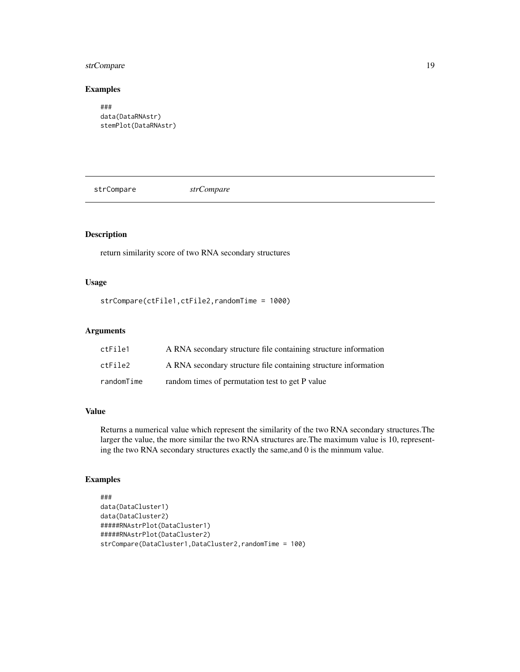#### <span id="page-18-0"></span>strCompare 19

#### Examples

```
###
data(DataRNAstr)
stemPlot(DataRNAstr)
```
strCompare *strCompare*

#### Description

return similarity score of two RNA secondary structures

#### Usage

```
strCompare(ctFile1,ctFile2,randomTime = 1000)
```
#### Arguments

| ctFile1    | A RNA secondary structure file containing structure information |
|------------|-----------------------------------------------------------------|
| ctFile2    | A RNA secondary structure file containing structure information |
| randomTime | random times of permutation test to get P value                 |

#### Value

Returns a numerical value which represent the similarity of the two RNA secondary structures.The larger the value, the more similar the two RNA structures are.The maximum value is 10, representing the two RNA secondary structures exactly the same,and 0 is the minmum value.

```
###
data(DataCluster1)
data(DataCluster2)
#####RNAstrPlot(DataCluster1)
#####RNAstrPlot(DataCluster2)
strCompare(DataCluster1,DataCluster2,randomTime = 100)
```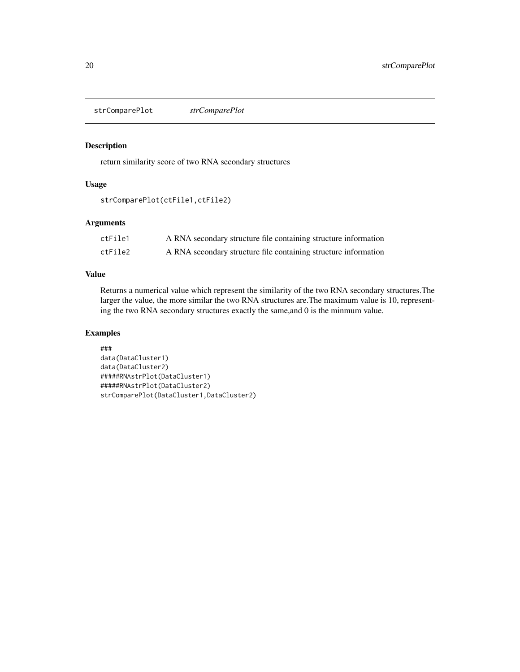<span id="page-19-0"></span>strComparePlot *strComparePlot*

#### Description

return similarity score of two RNA secondary structures

#### Usage

```
strComparePlot(ctFile1,ctFile2)
```
#### Arguments

| ctFile1 | A RNA secondary structure file containing structure information |
|---------|-----------------------------------------------------------------|
| ctFile2 | A RNA secondary structure file containing structure information |

#### Value

Returns a numerical value which represent the similarity of the two RNA secondary structures.The larger the value, the more similar the two RNA structures are.The maximum value is 10, representing the two RNA secondary structures exactly the same,and 0 is the minmum value.

```
###
data(DataCluster1)
data(DataCluster2)
#####RNAstrPlot(DataCluster1)
#####RNAstrPlot(DataCluster2)
strComparePlot(DataCluster1,DataCluster2)
```